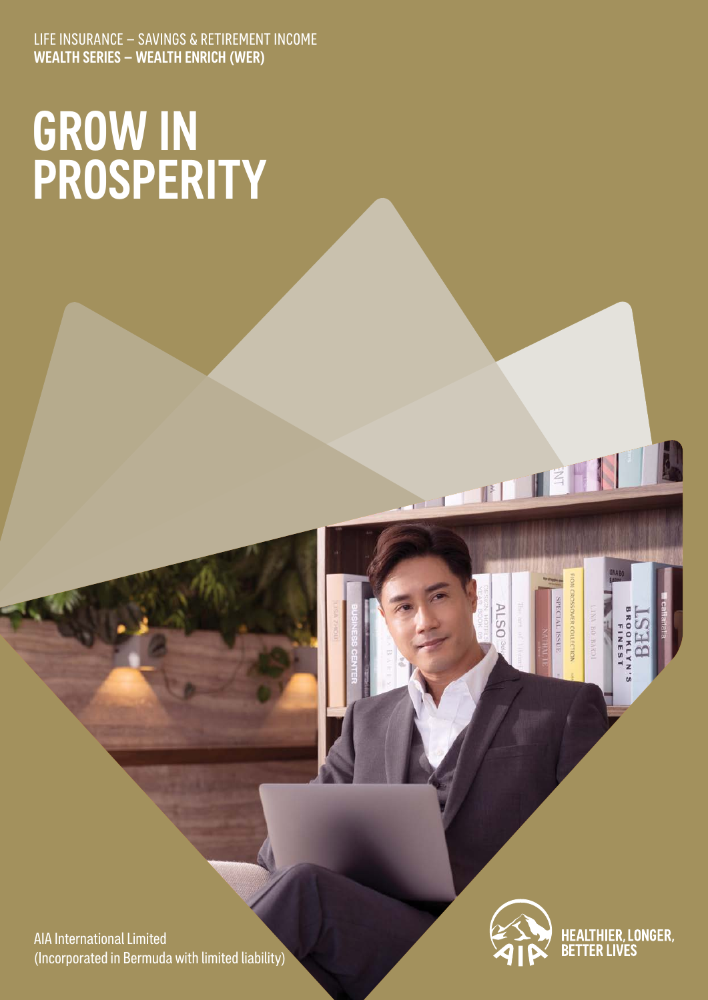LIFE INSURANCE – SAVINGS & RETIREMENT INCOME WEALTH SERIES – WEALTH ENRICH (WER)

# GROW IN PROSPERITY

AIA International Limited (Incorporated in Bermuda with limited liability)



**PERTIE** 

*EROSSOVER COLLECTION* 

**CINA BO BARD** 

OOKLYN FINEST

**SPECIAL ISSUE** 

**ALSO** 

 $\sqrt{1}$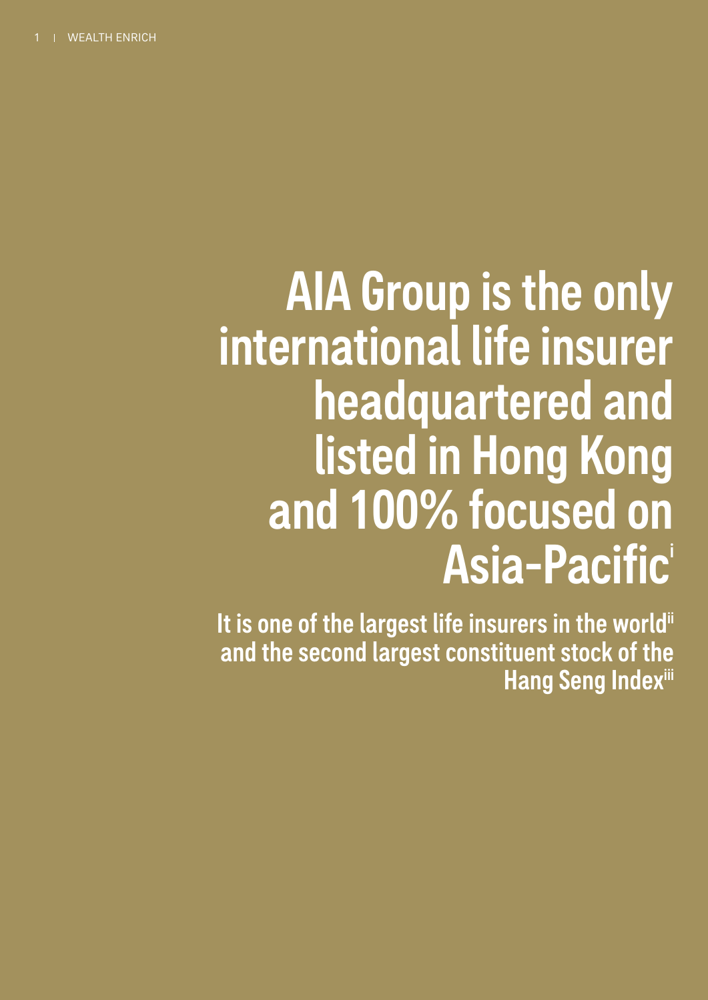# AIA Group is the only international life insurer headquartered and listed in Hong Kong and 100% focused on Asia-Pacific<sup>i</sup>

It is one of the largest life insurers in the worlding and the second largest constituent stock of the **Hang Seng Indexille**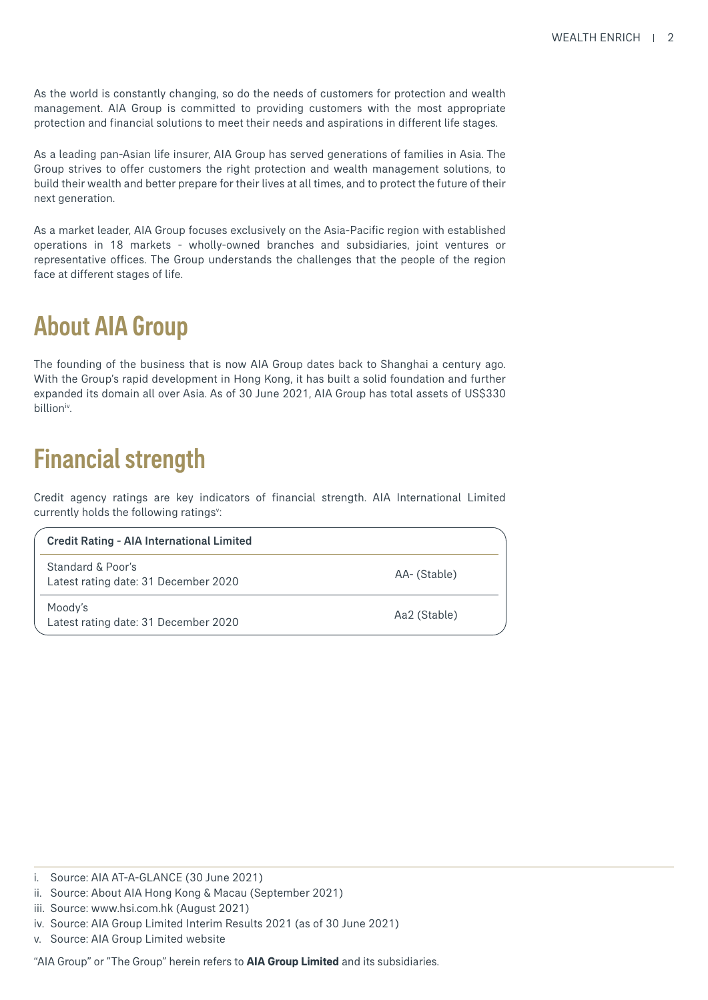As the world is constantly changing, so do the needs of customers for protection and wealth management. AIA Group is committed to providing customers with the most appropriate protection and financial solutions to meet their needs and aspirations in different life stages.

As a leading pan-Asian life insurer, AIA Group has served generations of families in Asia. The Group strives to offer customers the right protection and wealth management solutions, to build their wealth and better prepare for their lives at all times, and to protect the future of their next generation.

As a market leader, AIA Group focuses exclusively on the Asia-Pacific region with established operations in 18 markets - wholly-owned branches and subsidiaries, joint ventures or representative offices. The Group understands the challenges that the people of the region face at different stages of life.

## About AIA Group

The founding of the business that is now AIA Group dates back to Shanghai a century ago. With the Group's rapid development in Hong Kong, it has built a solid foundation and further expanded its domain all over Asia. As of 30 June 2021, AIA Group has total assets of US\$330 billion<sup>iv</sup>.

## Financial strength

Credit agency ratings are key indicators of financial strength. AIA International Limited currently holds the following ratings":

| <b>Credit Rating - AIA International Limited</b> |  |  |
|--------------------------------------------------|--|--|
|--------------------------------------------------|--|--|

Standard & Poor's Latest rating date: 31 December 2020 AA- (Stable)

Moody's Latest rating date: 31 December 2020 Aa2 (Stable)

i. Source: AIA AT-A-GLANCE (30 June 2021)

ii. Source: About AIA Hong Kong & Macau (September 2021)

iii. Source: www.hsi.com.hk (August 2021)

iv. Source: AIA Group Limited Interim Results 2021 (as of 30 June 2021)

v. Source: AIA Group Limited website

<sup>&</sup>quot;AIA Group" or "The Group" herein refers to **AIA Group Limited** and its subsidiaries.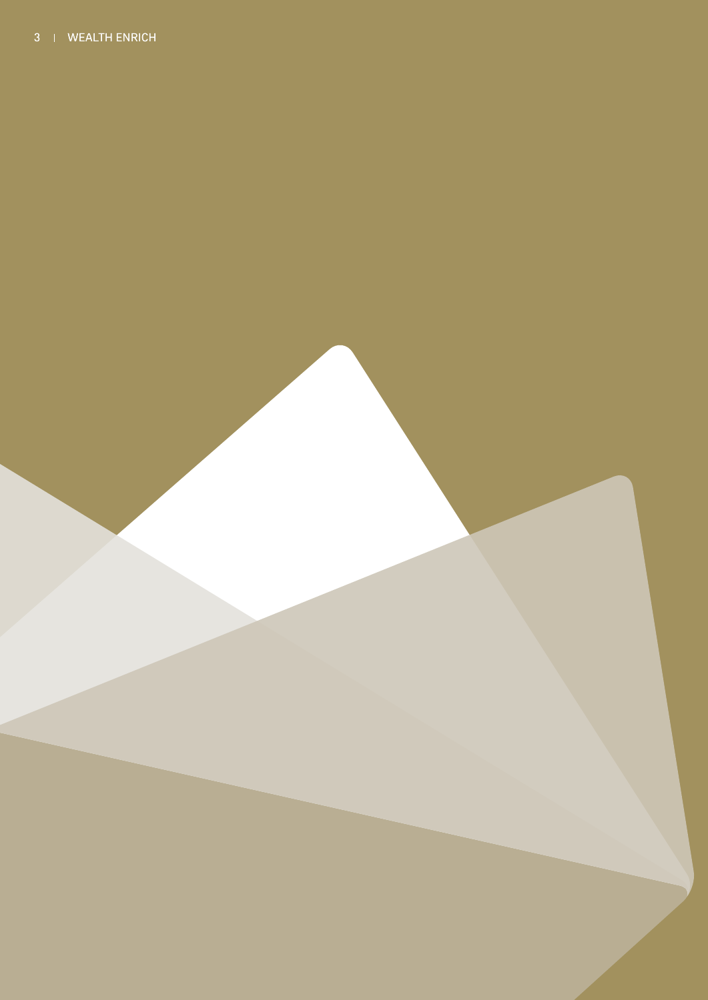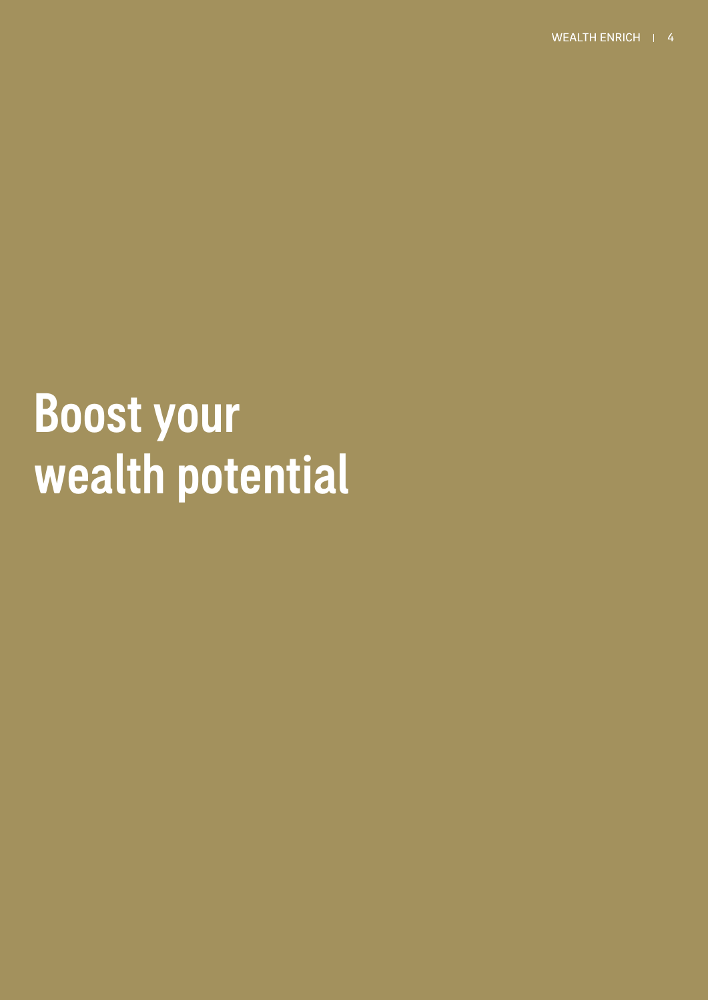# **Boost your** wealth potential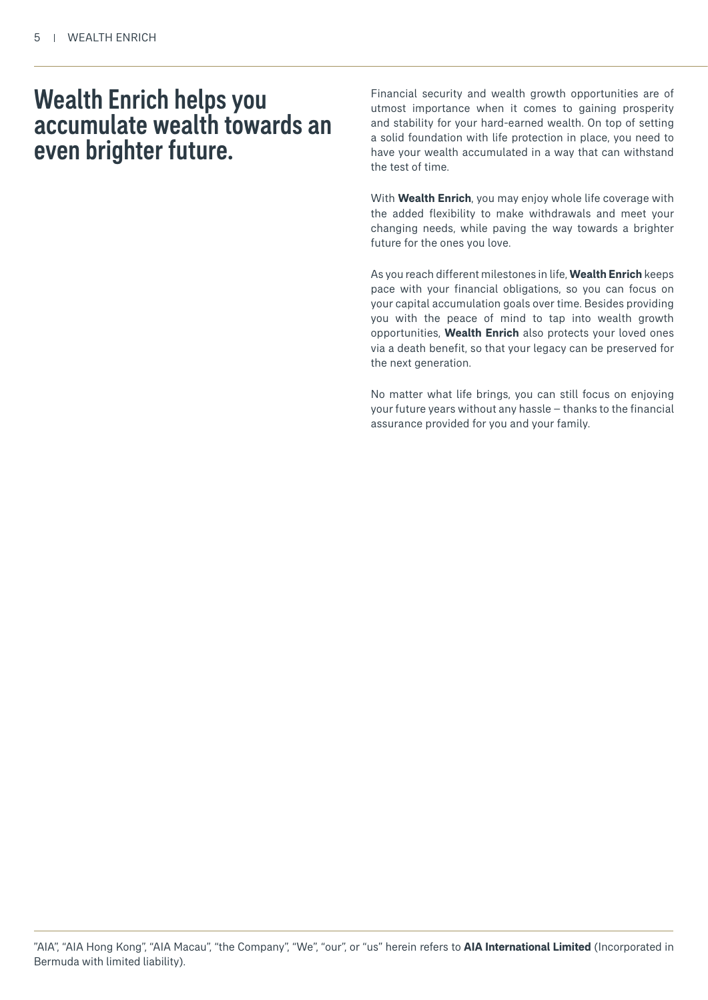## Wealth Enrich helps you accumulate wealth towards an even brighter future.

Financial security and wealth growth opportunities are of utmost importance when it comes to gaining prosperity and stability for your hard-earned wealth. On top of setting a solid foundation with life protection in place, you need to have your wealth accumulated in a way that can withstand the test of time.

With **Wealth Enrich**, you may enjoy whole life coverage with the added flexibility to make withdrawals and meet your changing needs, while paving the way towards a brighter future for the ones you love.

As you reach different milestones in life, **Wealth Enrich** keeps pace with your financial obligations, so you can focus on your capital accumulation goals over time. Besides providing you with the peace of mind to tap into wealth growth opportunities, **Wealth Enrich** also protects your loved ones via a death benefit, so that your legacy can be preserved for the next generation.

No matter what life brings, you can still focus on enjoying your future years without any hassle – thanks to the financial assurance provided for you and your family.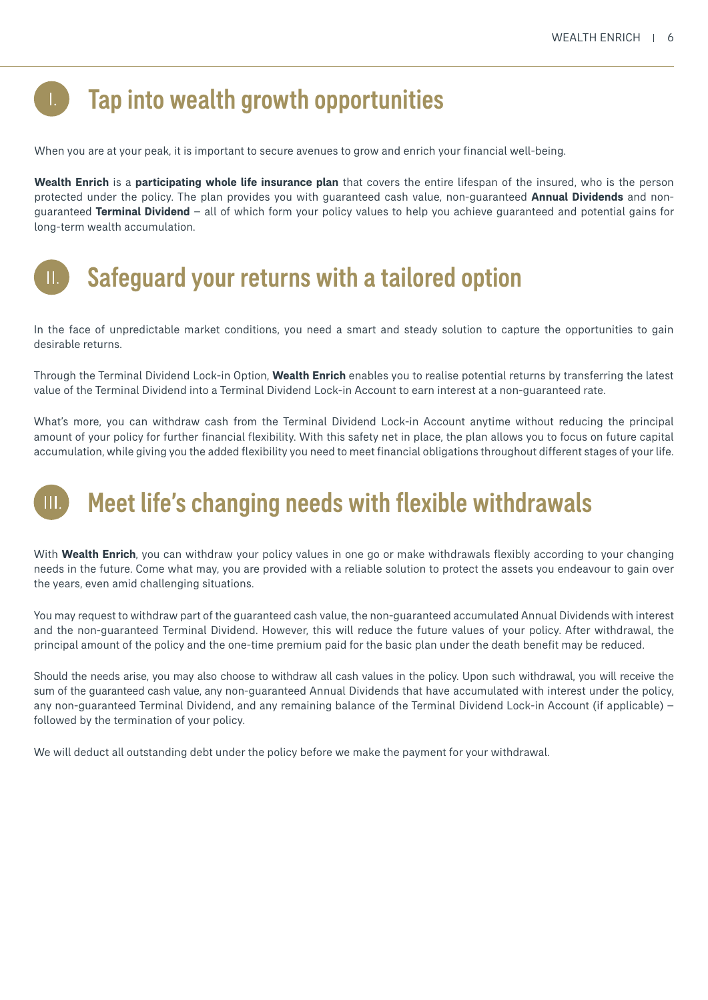## Tap into wealth growth opportunities

 $\mathbf{L}$ 

When you are at your peak, it is important to secure avenues to grow and enrich your financial well-being.

**Wealth Enrich** is a **participating whole life insurance plan** that covers the entire lifespan of the insured, who is the person protected under the policy. The plan provides you with guaranteed cash value, non-guaranteed **Annual Dividends** and nonguaranteed **Terminal Dividend** – all of which form your policy values to help you achieve guaranteed and potential gains for long-term wealth accumulation.

#### Safeguard your returns with a tailored option  $\mathbf{II}$ .

In the face of unpredictable market conditions, you need a smart and steady solution to capture the opportunities to gain desirable returns.

Through the Terminal Dividend Lock-in Option, **Wealth Enrich** enables you to realise potential returns by transferring the latest value of the Terminal Dividend into a Terminal Dividend Lock-in Account to earn interest at a non-guaranteed rate.

What's more, you can withdraw cash from the Terminal Dividend Lock-in Account anytime without reducing the principal amount of your policy for further financial flexibility. With this safety net in place, the plan allows you to focus on future capital accumulation, while giving you the added flexibility you need to meet financial obligations throughout different stages of your life.

## Meet life's changing needs with flexible withdrawals

With **Wealth Enrich**, you can withdraw your policy values in one go or make withdrawals flexibly according to your changing needs in the future. Come what may, you are provided with a reliable solution to protect the assets you endeavour to gain over the years, even amid challenging situations.

You may request to withdraw part of the guaranteed cash value, the non-guaranteed accumulated Annual Dividends with interest and the non-guaranteed Terminal Dividend. However, this will reduce the future values of your policy. After withdrawal, the principal amount of the policy and the one-time premium paid for the basic plan under the death benefit may be reduced.

Should the needs arise, you may also choose to withdraw all cash values in the policy. Upon such withdrawal, you will receive the sum of the guaranteed cash value, any non-guaranteed Annual Dividends that have accumulated with interest under the policy, any non-guaranteed Terminal Dividend, and any remaining balance of the Terminal Dividend Lock-in Account (if applicable) – followed by the termination of your policy.

We will deduct all outstanding debt under the policy before we make the payment for your withdrawal.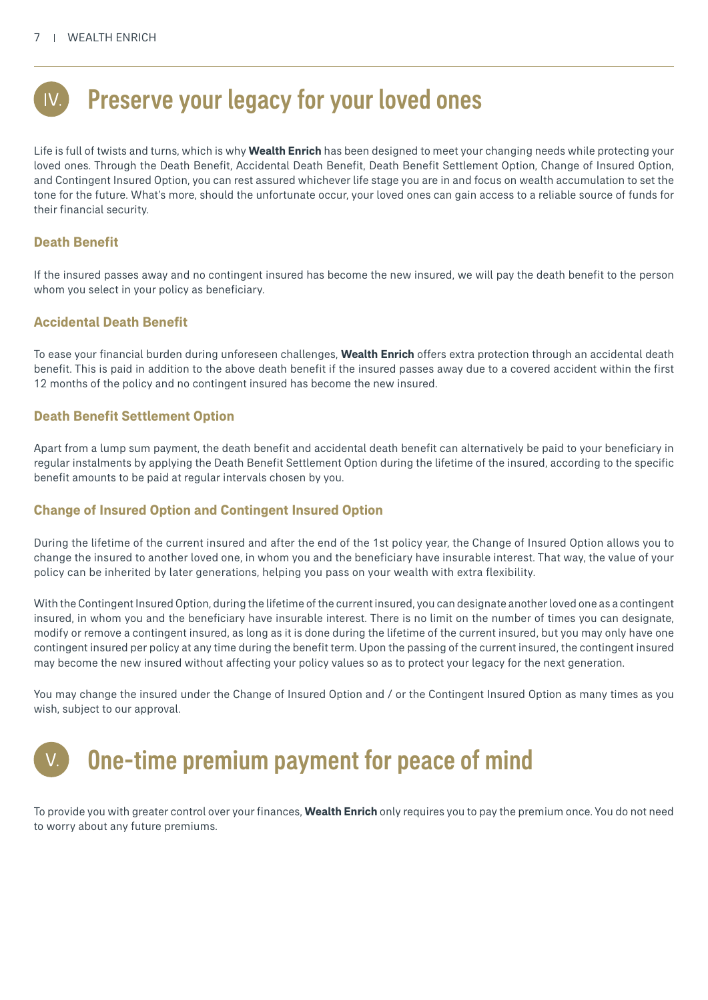

Life is full of twists and turns, which is why **Wealth Enrich** has been designed to meet your changing needs while protecting your loved ones. Through the Death Benefit, Accidental Death Benefit, Death Benefit Settlement Option, Change of Insured Option, and Contingent Insured Option, you can rest assured whichever life stage you are in and focus on wealth accumulation to set the tone for the future. What's more, should the unfortunate occur, your loved ones can gain access to a reliable source of funds for their financial security.

#### **Death Benefit**

If the insured passes away and no contingent insured has become the new insured, we will pay the death benefit to the person whom you select in your policy as beneficiary.

#### **Accidental Death Benefit**

To ease your financial burden during unforeseen challenges, **Wealth Enrich** offers extra protection through an accidental death benefit. This is paid in addition to the above death benefit if the insured passes away due to a covered accident within the first 12 months of the policy and no contingent insured has become the new insured.

#### **Death Benefit Settlement Option**

Apart from a lump sum payment, the death benefit and accidental death benefit can alternatively be paid to your beneficiary in regular instalments by applying the Death Benefit Settlement Option during the lifetime of the insured, according to the specific benefit amounts to be paid at regular intervals chosen by you.

#### **Change of Insured Option and Contingent Insured Option**

During the lifetime of the current insured and after the end of the 1st policy year, the Change of Insured Option allows you to change the insured to another loved one, in whom you and the beneficiary have insurable interest. That way, the value of your policy can be inherited by later generations, helping you pass on your wealth with extra flexibility.

With the Contingent Insured Option, during the lifetime of the current insured, you can designate another loved one as a contingent insured, in whom you and the beneficiary have insurable interest. There is no limit on the number of times you can designate, modify or remove a contingent insured, as long as it is done during the lifetime of the current insured, but you may only have one contingent insured per policy at any time during the benefit term. Upon the passing of the current insured, the contingent insured may become the new insured without affecting your policy values so as to protect your legacy for the next generation.

You may change the insured under the Change of Insured Option and / or the Contingent Insured Option as many times as you wish, subject to our approval.

## One-time premium payment for peace of mind

To provide you with greater control over your finances, **Wealth Enrich** only requires you to pay the premium once. You do not need to worry about any future premiums.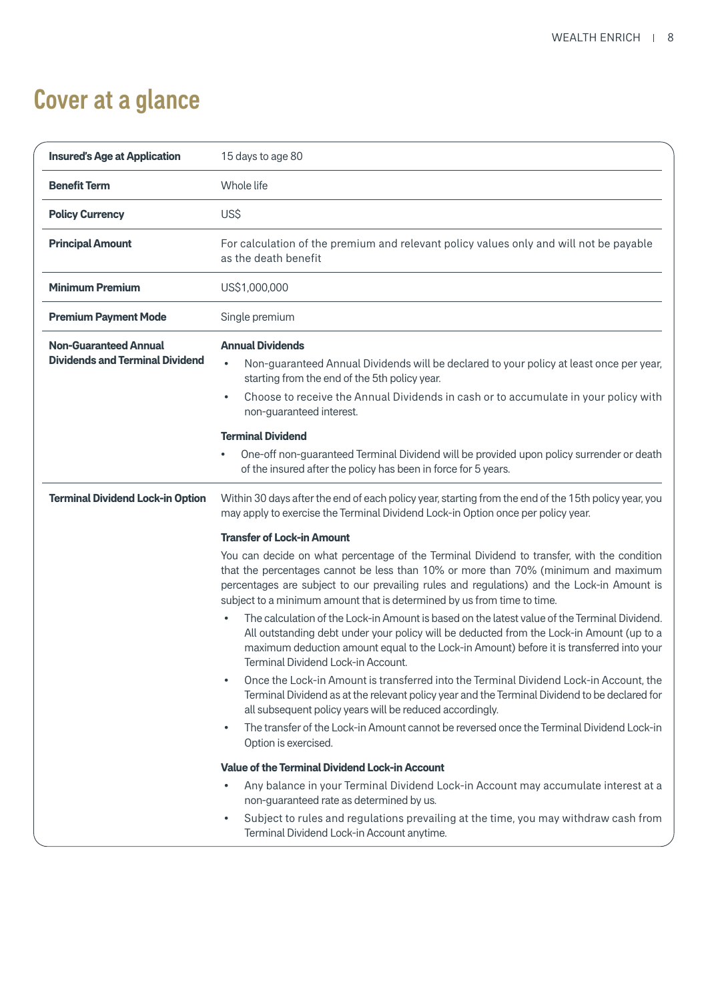## Cover at a glance

| <b>Insured's Age at Application</b>                                    | 15 days to age 80                                                                                                                                                                                                                                                                                                                                         |  |
|------------------------------------------------------------------------|-----------------------------------------------------------------------------------------------------------------------------------------------------------------------------------------------------------------------------------------------------------------------------------------------------------------------------------------------------------|--|
| <b>Benefit Term</b>                                                    | Whole life                                                                                                                                                                                                                                                                                                                                                |  |
| <b>Policy Currency</b>                                                 | US\$                                                                                                                                                                                                                                                                                                                                                      |  |
| <b>Principal Amount</b>                                                | For calculation of the premium and relevant policy values only and will not be payable<br>as the death benefit                                                                                                                                                                                                                                            |  |
| <b>Minimum Premium</b>                                                 | US\$1,000,000                                                                                                                                                                                                                                                                                                                                             |  |
| <b>Premium Payment Mode</b>                                            | Single premium                                                                                                                                                                                                                                                                                                                                            |  |
| <b>Non-Guaranteed Annual</b><br><b>Dividends and Terminal Dividend</b> | <b>Annual Dividends</b><br>Non-guaranteed Annual Dividends will be declared to your policy at least once per year,<br>$\bullet$<br>starting from the end of the 5th policy year.<br>Choose to receive the Annual Dividends in cash or to accumulate in your policy with<br>$\bullet$<br>non-guaranteed interest.                                          |  |
|                                                                        | <b>Terminal Dividend</b><br>One-off non-guaranteed Terminal Dividend will be provided upon policy surrender or death<br>of the insured after the policy has been in force for 5 years.                                                                                                                                                                    |  |
| <b>Terminal Dividend Lock-in Option</b>                                | Within 30 days after the end of each policy year, starting from the end of the 15th policy year, you<br>may apply to exercise the Terminal Dividend Lock-in Option once per policy year.                                                                                                                                                                  |  |
|                                                                        | <b>Transfer of Lock-in Amount</b>                                                                                                                                                                                                                                                                                                                         |  |
|                                                                        | You can decide on what percentage of the Terminal Dividend to transfer, with the condition<br>that the percentages cannot be less than 10% or more than 70% (minimum and maximum<br>percentages are subject to our prevailing rules and regulations) and the Lock-in Amount is<br>subject to a minimum amount that is determined by us from time to time. |  |
|                                                                        | The calculation of the Lock-in Amount is based on the latest value of the Terminal Dividend.<br>$\bullet$<br>All outstanding debt under your policy will be deducted from the Lock-in Amount (up to a<br>maximum deduction amount equal to the Lock-in Amount) before it is transferred into your<br>Terminal Dividend Lock-in Account.                   |  |
|                                                                        | Once the Lock-in Amount is transferred into the Terminal Dividend Lock-in Account, the<br>Terminal Dividend as at the relevant policy year and the Terminal Dividend to be declared for<br>all subsequent policy years will be reduced accordingly.                                                                                                       |  |
|                                                                        | The transfer of the Lock-in Amount cannot be reversed once the Terminal Dividend Lock-in<br>$\bullet$<br>Option is exercised.                                                                                                                                                                                                                             |  |
|                                                                        | <b>Value of the Terminal Dividend Lock-in Account</b>                                                                                                                                                                                                                                                                                                     |  |
|                                                                        | Any balance in your Terminal Dividend Lock-in Account may accumulate interest at a<br>$\bullet$<br>non-guaranteed rate as determined by us.                                                                                                                                                                                                               |  |
|                                                                        | Subject to rules and regulations prevailing at the time, you may withdraw cash from<br>$\bullet$<br>Terminal Dividend Lock-in Account anytime.                                                                                                                                                                                                            |  |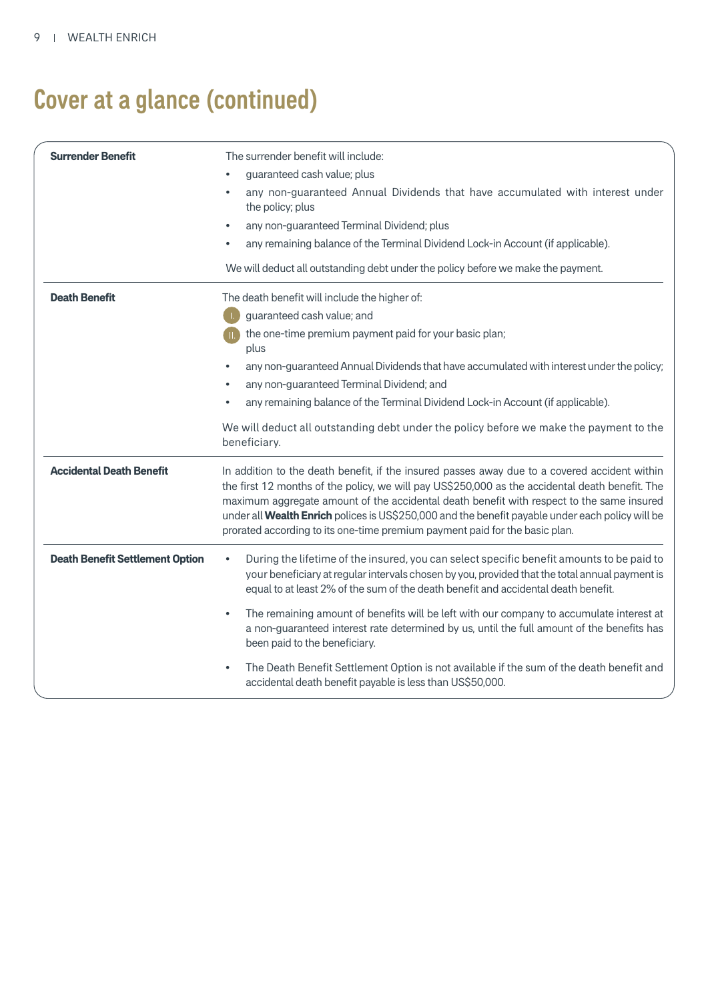# Cover at a glance (continued)

| <b>Surrender Benefit</b>               | The surrender benefit will include:<br>guaranteed cash value; plus<br>$\bullet$<br>any non-guaranteed Annual Dividends that have accumulated with interest under<br>$\bullet$<br>the policy; plus<br>any non-guaranteed Terminal Dividend; plus<br>$\bullet$<br>any remaining balance of the Terminal Dividend Lock-in Account (if applicable).<br>$\bullet$<br>We will deduct all outstanding debt under the policy before we make the payment.                                                                                                                                                                                                                                                |  |
|----------------------------------------|-------------------------------------------------------------------------------------------------------------------------------------------------------------------------------------------------------------------------------------------------------------------------------------------------------------------------------------------------------------------------------------------------------------------------------------------------------------------------------------------------------------------------------------------------------------------------------------------------------------------------------------------------------------------------------------------------|--|
| <b>Death Benefit</b>                   | The death benefit will include the higher of:<br>guaranteed cash value; and<br>the one-time premium payment paid for your basic plan;<br>plus<br>any non-guaranteed Annual Dividends that have accumulated with interest under the policy;<br>$\bullet$<br>any non-guaranteed Terminal Dividend; and<br>$\bullet$<br>any remaining balance of the Terminal Dividend Lock-in Account (if applicable).<br>$\bullet$<br>We will deduct all outstanding debt under the policy before we make the payment to the<br>beneficiary.                                                                                                                                                                     |  |
| <b>Accidental Death Benefit</b>        | In addition to the death benefit, if the insured passes away due to a covered accident within<br>the first 12 months of the policy, we will pay US\$250,000 as the accidental death benefit. The<br>maximum aggregate amount of the accidental death benefit with respect to the same insured<br>under all Wealth Enrich polices is US\$250,000 and the benefit payable under each policy will be<br>prorated according to its one-time premium payment paid for the basic plan.                                                                                                                                                                                                                |  |
| <b>Death Benefit Settlement Option</b> | During the lifetime of the insured, you can select specific benefit amounts to be paid to<br>your beneficiary at regular intervals chosen by you, provided that the total annual payment is<br>equal to at least 2% of the sum of the death benefit and accidental death benefit.<br>The remaining amount of benefits will be left with our company to accumulate interest at<br>$\bullet$<br>a non-guaranteed interest rate determined by us, until the full amount of the benefits has<br>been paid to the beneficiary.<br>The Death Benefit Settlement Option is not available if the sum of the death benefit and<br>$\bullet$<br>accidental death benefit payable is less than US\$50,000. |  |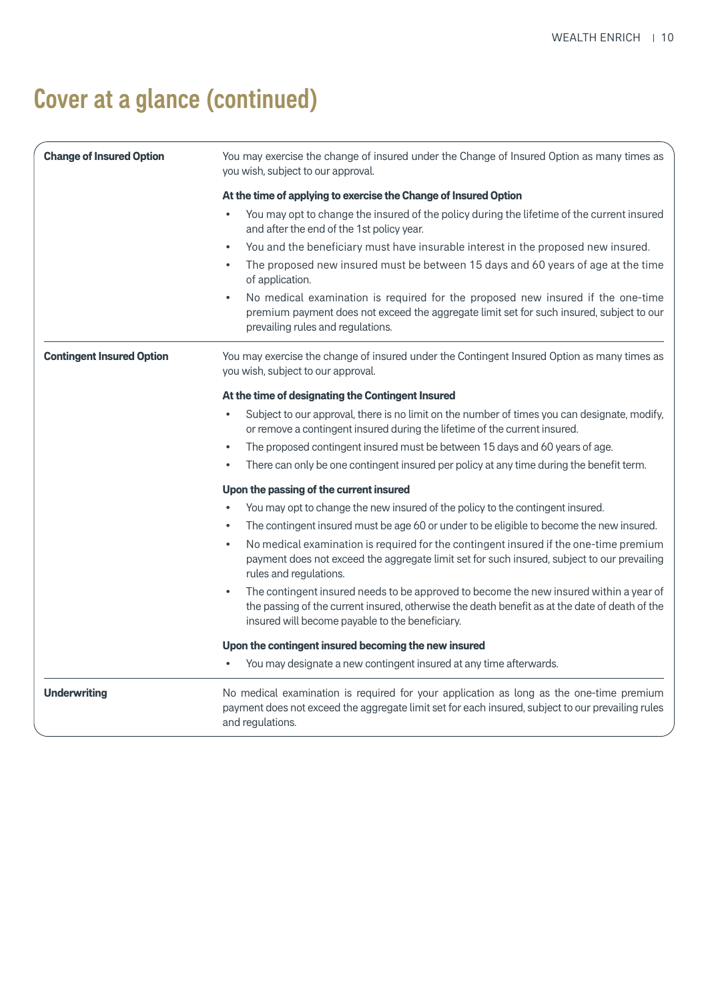# Cover at a glance (continued)

| <b>Change of Insured Option</b>  | You may exercise the change of insured under the Change of Insured Option as many times as<br>you wish, subject to our approval.                                                                                                                         |  |  |
|----------------------------------|----------------------------------------------------------------------------------------------------------------------------------------------------------------------------------------------------------------------------------------------------------|--|--|
|                                  | At the time of applying to exercise the Change of Insured Option                                                                                                                                                                                         |  |  |
|                                  | You may opt to change the insured of the policy during the lifetime of the current insured<br>$\bullet$<br>and after the end of the 1st policy year.                                                                                                     |  |  |
|                                  | You and the beneficiary must have insurable interest in the proposed new insured.<br>$\bullet$                                                                                                                                                           |  |  |
|                                  | The proposed new insured must be between 15 days and 60 years of age at the time<br>$\bullet$<br>of application.                                                                                                                                         |  |  |
|                                  | No medical examination is required for the proposed new insured if the one-time<br>$\bullet$<br>premium payment does not exceed the aggregate limit set for such insured, subject to our<br>prevailing rules and regulations.                            |  |  |
| <b>Contingent Insured Option</b> | You may exercise the change of insured under the Contingent Insured Option as many times as<br>you wish, subject to our approval.                                                                                                                        |  |  |
|                                  | At the time of designating the Contingent Insured                                                                                                                                                                                                        |  |  |
|                                  | Subject to our approval, there is no limit on the number of times you can designate, modify,<br>$\bullet$<br>or remove a contingent insured during the lifetime of the current insured.                                                                  |  |  |
|                                  | The proposed contingent insured must be between 15 days and 60 years of age.<br>$\bullet$                                                                                                                                                                |  |  |
|                                  | There can only be one contingent insured per policy at any time during the benefit term.<br>$\bullet$                                                                                                                                                    |  |  |
|                                  | Upon the passing of the current insured                                                                                                                                                                                                                  |  |  |
|                                  | You may opt to change the new insured of the policy to the contingent insured.<br>$\bullet$                                                                                                                                                              |  |  |
|                                  | The contingent insured must be age 60 or under to be eligible to become the new insured.<br>$\bullet$                                                                                                                                                    |  |  |
|                                  | No medical examination is required for the contingent insured if the one-time premium<br>$\bullet$<br>payment does not exceed the aggregate limit set for such insured, subject to our prevailing<br>rules and regulations.                              |  |  |
|                                  | The contingent insured needs to be approved to become the new insured within a year of<br>$\bullet$<br>the passing of the current insured, otherwise the death benefit as at the date of death of the<br>insured will become payable to the beneficiary. |  |  |
|                                  | Upon the contingent insured becoming the new insured                                                                                                                                                                                                     |  |  |
|                                  | You may designate a new contingent insured at any time afterwards.                                                                                                                                                                                       |  |  |
| <b>Underwriting</b>              | No medical examination is required for your application as long as the one-time premium<br>payment does not exceed the aggregate limit set for each insured, subject to our prevailing rules<br>and regulations.                                         |  |  |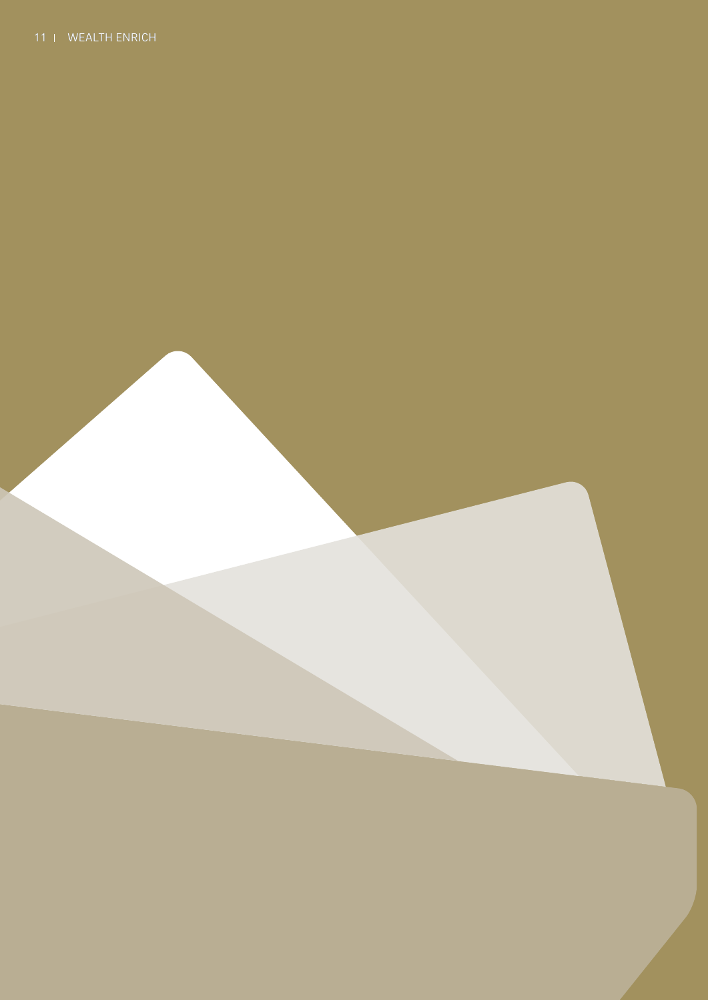### 11 | WEALTH ENRICH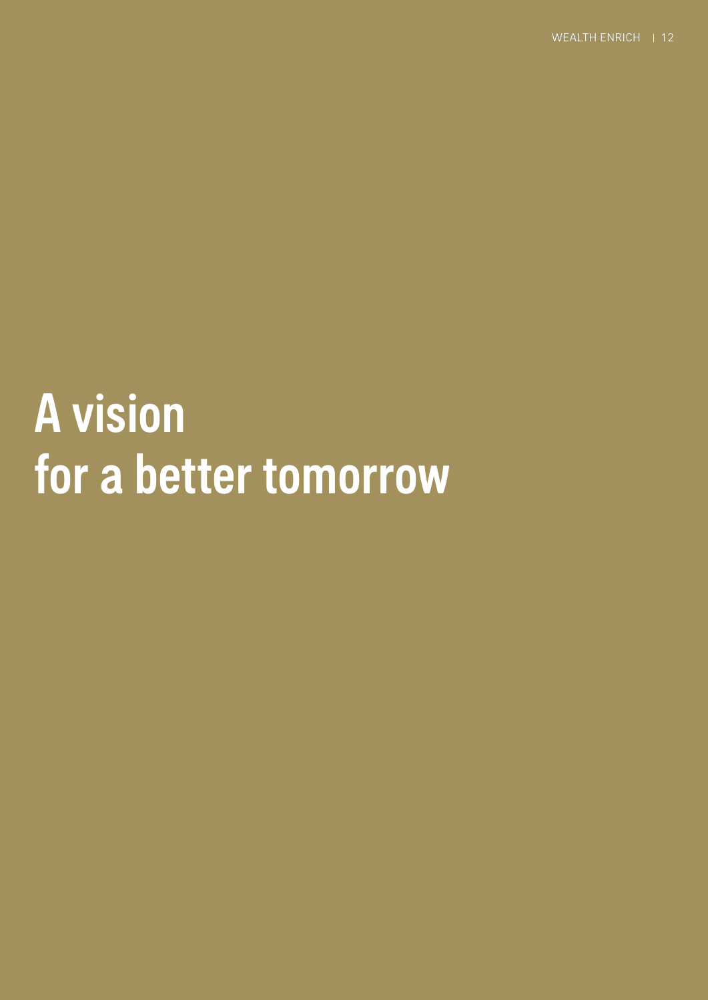A vision for a better tomorrow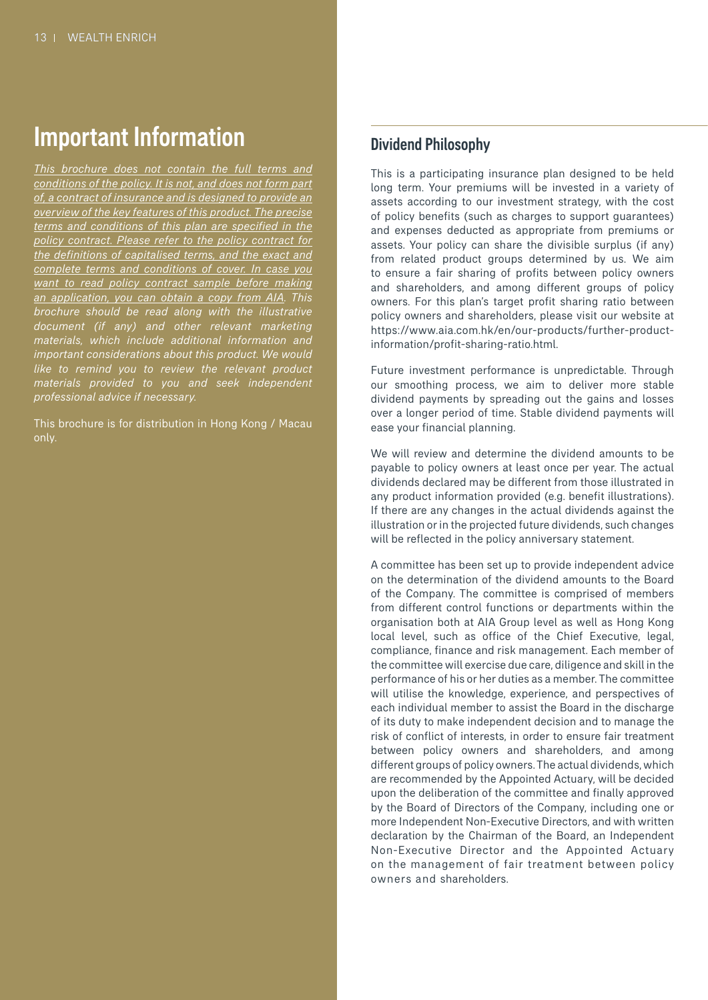## Important Information

*This brochure does not contain the full terms and conditions of the policy. It is not, and does not form part of, a contract of insurance and is designed to provide an overview of the key features of this product. The precise terms and conditions of this plan are specified in the policy contract. Please refer to the policy contract for the definitions of capitalised terms, and the exact and complete terms and conditions of cover. In case you want to read policy contract sample before making an application, you can obtain a copy from AIA. This brochure should be read along with the illustrative document (if any) and other relevant marketing materials, which include additional information and important considerations about this product. We would like to remind you to review the relevant product materials provided to you and seek independent professional advice if necessary.*

This brochure is for distribution in Hong Kong / Macau only.

## Dividend Philosophy

This is a participating insurance plan designed to be held long term. Your premiums will be invested in a variety of assets according to our investment strategy, with the cost of policy benefits (such as charges to support guarantees) and expenses deducted as appropriate from premiums or assets. Your policy can share the divisible surplus (if any) from related product groups determined by us. We aim to ensure a fair sharing of profits between policy owners and shareholders, and among different groups of policy owners. For this plan's target profit sharing ratio between policy owners and shareholders, please visit our website at https://www.aia.com.hk/en/our-products/further-productinformation/profit-sharing-ratio.html.

Future investment performance is unpredictable. Through our smoothing process, we aim to deliver more stable dividend payments by spreading out the gains and losses over a longer period of time. Stable dividend payments will ease your financial planning.

We will review and determine the dividend amounts to be payable to policy owners at least once per year. The actual dividends declared may be different from those illustrated in any product information provided (e.g. benefit illustrations). If there are any changes in the actual dividends against the illustration or in the projected future dividends, such changes will be reflected in the policy anniversary statement.

A committee has been set up to provide independent advice on the determination of the dividend amounts to the Board of the Company. The committee is comprised of members from different control functions or departments within the organisation both at AIA Group level as well as Hong Kong local level, such as office of the Chief Executive, legal, compliance, finance and risk management. Each member of the committee will exercise due care, diligence and skill in the performance of his or her duties as a member. The committee will utilise the knowledge, experience, and perspectives of each individual member to assist the Board in the discharge of its duty to make independent decision and to manage the risk of conflict of interests, in order to ensure fair treatment between policy owners and shareholders, and among different groups of policy owners. The actual dividends, which are recommended by the Appointed Actuary, will be decided upon the deliberation of the committee and finally approved by the Board of Directors of the Company, including one or more Independent Non-Executive Directors, and with written declaration by the Chairman of the Board, an Independent Non-Executive Director and the Appointed Actuary on the management of fair treatment between policy owners and shareholders.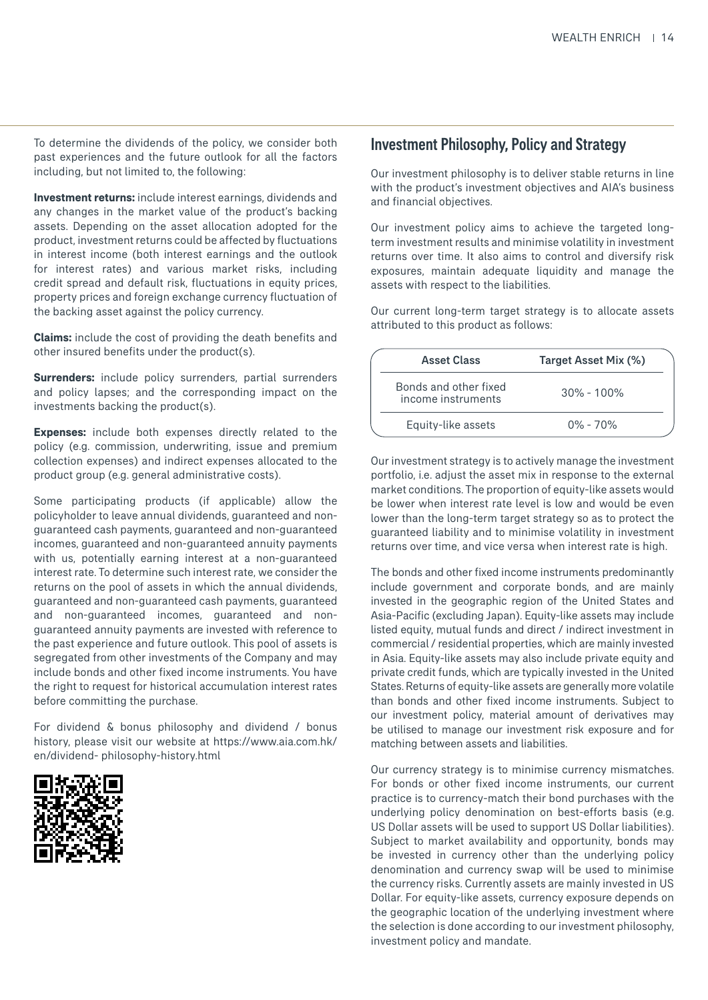To determine the dividends of the policy, we consider both past experiences and the future outlook for all the factors including, but not limited to, the following:

**Investment returns:** include interest earnings, dividends and any changes in the market value of the product's backing assets. Depending on the asset allocation adopted for the product, investment returns could be affected by fluctuations in interest income (both interest earnings and the outlook for interest rates) and various market risks, including credit spread and default risk, fluctuations in equity prices, property prices and foreign exchange currency fluctuation of the backing asset against the policy currency.

**Claims:** include the cost of providing the death benefits and other insured benefits under the product(s).

**Surrenders:** include policy surrenders, partial surrenders and policy lapses; and the corresponding impact on the investments backing the product(s).

**Expenses:** include both expenses directly related to the policy (e.g. commission, underwriting, issue and premium collection expenses) and indirect expenses allocated to the product group (e.g. general administrative costs).

Some participating products (if applicable) allow the policyholder to leave annual dividends, guaranteed and nonguaranteed cash payments, guaranteed and non-guaranteed incomes, guaranteed and non-guaranteed annuity payments with us, potentially earning interest at a non-guaranteed interest rate. To determine such interest rate, we consider the returns on the pool of assets in which the annual dividends, guaranteed and non-guaranteed cash payments, guaranteed and non-guaranteed incomes, guaranteed and nonguaranteed annuity payments are invested with reference to the past experience and future outlook. This pool of assets is segregated from other investments of the Company and may include bonds and other fixed income instruments. You have the right to request for historical accumulation interest rates before committing the purchase.

For dividend & bonus philosophy and dividend / bonus history, please visit our website at https://www.aia.com.hk/ en/dividend- philosophy-history.html



#### Investment Philosophy, Policy and Strategy

Our investment philosophy is to deliver stable returns in line with the product's investment objectives and AIA's business and financial objectives.

Our investment policy aims to achieve the targeted longterm investment results and minimise volatility in investment returns over time. It also aims to control and diversify risk exposures, maintain adequate liquidity and manage the assets with respect to the liabilities.

Our current long-term target strategy is to allocate assets attributed to this product as follows:

| <b>Asset Class</b>                          | Target Asset Mix (%) |  |
|---------------------------------------------|----------------------|--|
| Bonds and other fixed<br>income instruments | $30\% - 100\%$       |  |
| Equity-like assets                          | $0\% - 70\%$         |  |

Our investment strategy is to actively manage the investment portfolio, i.e. adjust the asset mix in response to the external market conditions. The proportion of equity-like assets would be lower when interest rate level is low and would be even lower than the long-term target strategy so as to protect the guaranteed liability and to minimise volatility in investment returns over time, and vice versa when interest rate is high.

The bonds and other fixed income instruments predominantly include government and corporate bonds, and are mainly invested in the geographic region of the United States and Asia-Pacific (excluding Japan). Equity-like assets may include listed equity, mutual funds and direct / indirect investment in commercial / residential properties, which are mainly invested in Asia. Equity-like assets may also include private equity and private credit funds, which are typically invested in the United States. Returns of equity-like assets are generally more volatile than bonds and other fixed income instruments. Subject to our investment policy, material amount of derivatives may be utilised to manage our investment risk exposure and for matching between assets and liabilities.

Our currency strategy is to minimise currency mismatches. For bonds or other fixed income instruments, our current practice is to currency-match their bond purchases with the underlying policy denomination on best-efforts basis (e.g. US Dollar assets will be used to support US Dollar liabilities). Subject to market availability and opportunity, bonds may be invested in currency other than the underlying policy denomination and currency swap will be used to minimise the currency risks. Currently assets are mainly invested in US Dollar. For equity-like assets, currency exposure depends on the geographic location of the underlying investment where the selection is done according to our investment philosophy, investment policy and mandate.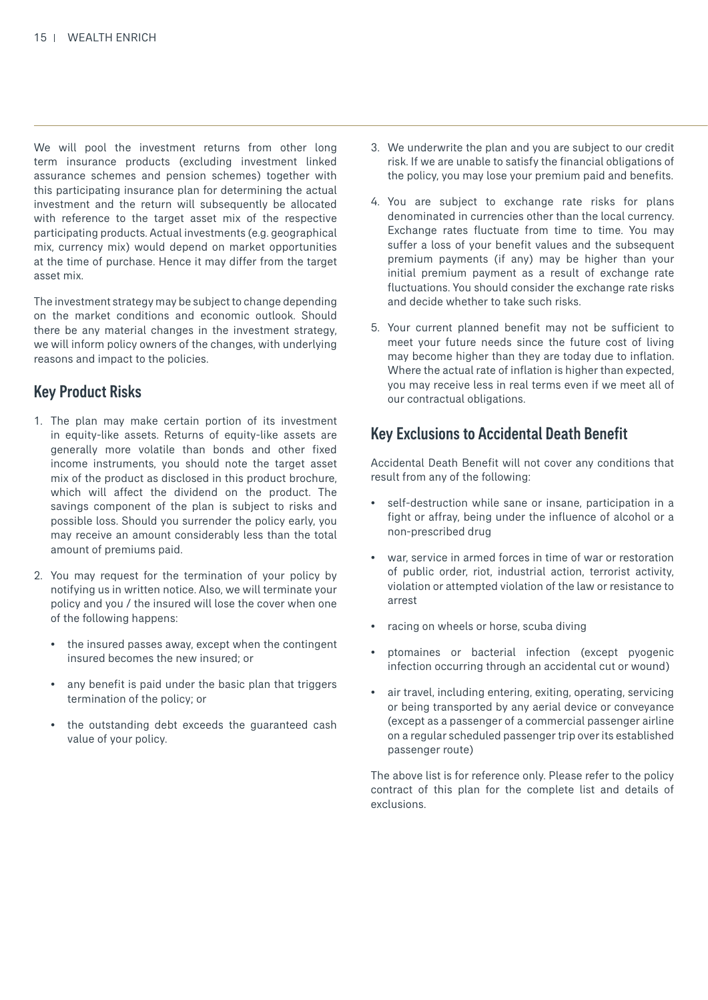We will pool the investment returns from other long term insurance products (excluding investment linked assurance schemes and pension schemes) together with this participating insurance plan for determining the actual investment and the return will subsequently be allocated with reference to the target asset mix of the respective participating products. Actual investments (e.g. geographical mix, currency mix) would depend on market opportunities at the time of purchase. Hence it may differ from the target asset mix.

The investment strategy may be subject to change depending on the market conditions and economic outlook. Should there be any material changes in the investment strategy, we will inform policy owners of the changes, with underlying reasons and impact to the policies.

### Key Product Risks

- 1. The plan may make certain portion of its investment in equity-like assets. Returns of equity-like assets are generally more volatile than bonds and other fixed income instruments, you should note the target asset mix of the product as disclosed in this product brochure, which will affect the dividend on the product. The savings component of the plan is subject to risks and possible loss. Should you surrender the policy early, you may receive an amount considerably less than the total amount of premiums paid.
- 2. You may request for the termination of your policy by notifying us in written notice. Also, we will terminate your policy and you / the insured will lose the cover when one of the following happens:
	- the insured passes away, except when the contingent insured becomes the new insured; or
	- any benefit is paid under the basic plan that triggers termination of the policy; or
	- the outstanding debt exceeds the guaranteed cash value of your policy.
- 3. We underwrite the plan and you are subject to our credit risk. If we are unable to satisfy the financial obligations of the policy, you may lose your premium paid and benefits.
- 4. You are subject to exchange rate risks for plans denominated in currencies other than the local currency. Exchange rates fluctuate from time to time. You may suffer a loss of your benefit values and the subsequent premium payments (if any) may be higher than your initial premium payment as a result of exchange rate fluctuations. You should consider the exchange rate risks and decide whether to take such risks.
- 5. Your current planned benefit may not be sufficient to meet your future needs since the future cost of living may become higher than they are today due to inflation. Where the actual rate of inflation is higher than expected, you may receive less in real terms even if we meet all of our contractual obligations.

### Key Exclusions to Accidental Death Benefit

Accidental Death Benefit will not cover any conditions that result from any of the following:

- self-destruction while sane or insane, participation in a fight or affray, being under the influence of alcohol or a non-prescribed drug
- war, service in armed forces in time of war or restoration of public order, riot, industrial action, terrorist activity, violation or attempted violation of the law or resistance to arrest
- racing on wheels or horse, scuba diving
- ptomaines or bacterial infection (except pyogenic infection occurring through an accidental cut or wound)
- air travel, including entering, exiting, operating, servicing or being transported by any aerial device or conveyance (except as a passenger of a commercial passenger airline on a regular scheduled passenger trip over its established passenger route)

The above list is for reference only. Please refer to the policy contract of this plan for the complete list and details of exclusions.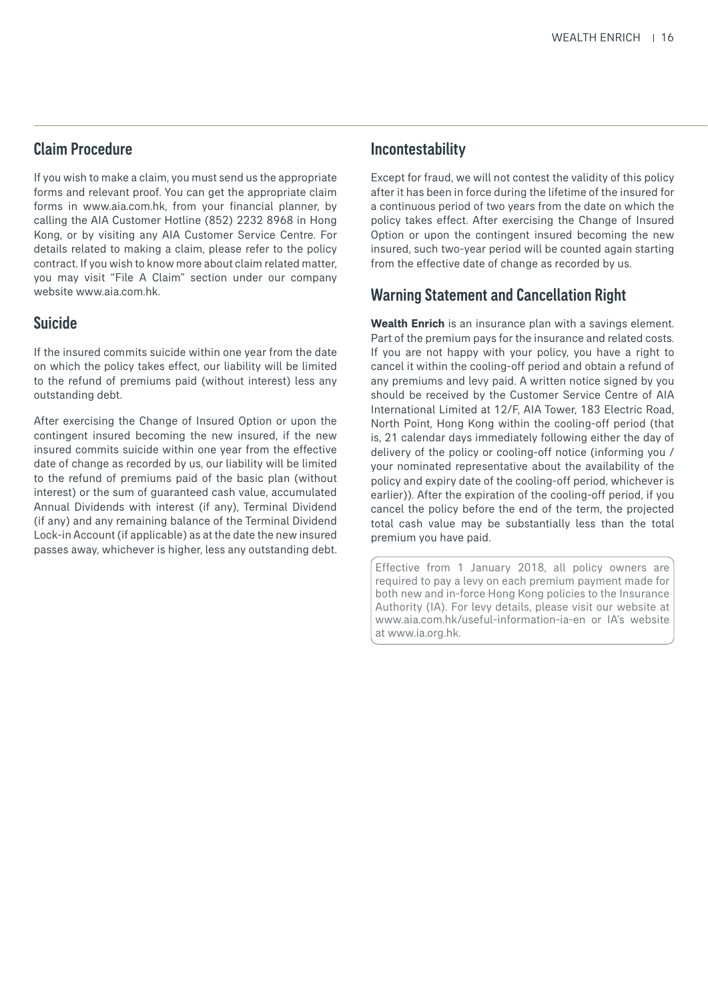### Claim Procedure

If you wish to make a claim, you must send us the appropriate forms and relevant proof. You can get the appropriate claim forms in www.aia.com.hk, from your financial planner, by calling the AIA Customer Hotline (852) 2232 8968 in Hong Kong, or by visiting any AIA Customer Service Centre. For details related to making a claim, please refer to the policy contract. If you wish to know more about claim related matter, you may visit "File A Claim" section under our company website www.aia.com.hk.

### Suicide

If the insured commits suicide within one year from the date on which the policy takes effect, our liability will be limited to the refund of premiums paid (without interest) less any outstanding debt.

After exercising the Change of Insured Option or upon the contingent insured becoming the new insured, if the new insured commits suicide within one year from the effective date of change as recorded by us, our liability will be limited to the refund of premiums paid of the basic plan (without interest) or the sum of guaranteed cash value, accumulated Annual Dividends with interest (if any), Terminal Dividend (if any) and any remaining balance of the Terminal Dividend Lock-in Account (if applicable) as at the date the new insured passes away, whichever is higher, less any outstanding debt.

#### Incontestability

Except for fraud, we will not contest the validity of this policy after it has been in force during the lifetime of the insured for a continuous period of two years from the date on which the policy takes effect. After exercising the Change of Insured Option or upon the contingent insured becoming the new insured, such two-year period will be counted again starting from the effective date of change as recorded by us.

#### Warning Statement and Cancellation Right

**Wealth Enrich** is an insurance plan with a savings element. Part of the premium pays for the insurance and related costs. If you are not happy with your policy, you have a right to cancel it within the cooling-off period and obtain a refund of any premiums and levy paid. A written notice signed by you should be received by the Customer Service Centre of AIA International Limited at 12/F, AIA Tower, 183 Electric Road, North Point, Hong Kong within the cooling-off period (that is, 21 calendar days immediately following either the day of delivery of the policy or cooling-off notice (informing you / your nominated representative about the availability of the policy and expiry date of the cooling-off period, whichever is earlier)). After the expiration of the cooling-off period, if you cancel the policy before the end of the term, the projected total cash value may be substantially less than the total premium you have paid.

Effective from 1 January 2018, all policy owners are required to pay a levy on each premium payment made for both new and in-force Hong Kong policies to the Insurance Authority (IA). For levy details, please visit our website at www.aia.com.hk/useful-information-ia-en or IA's website at www.ia.org.hk.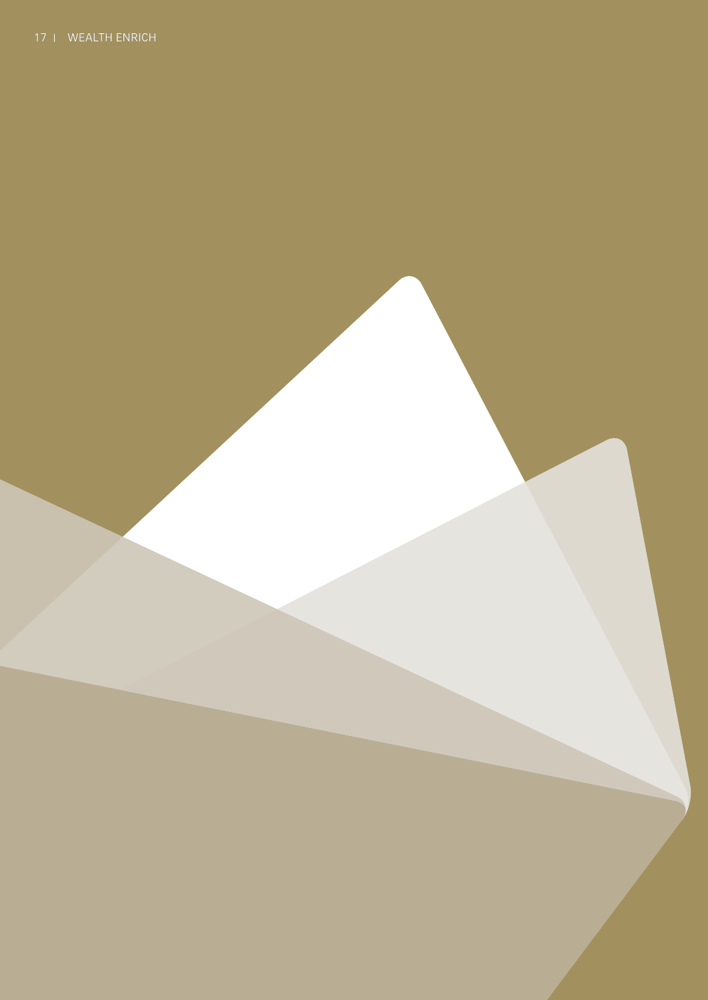### 17 | WEALTH ENRICH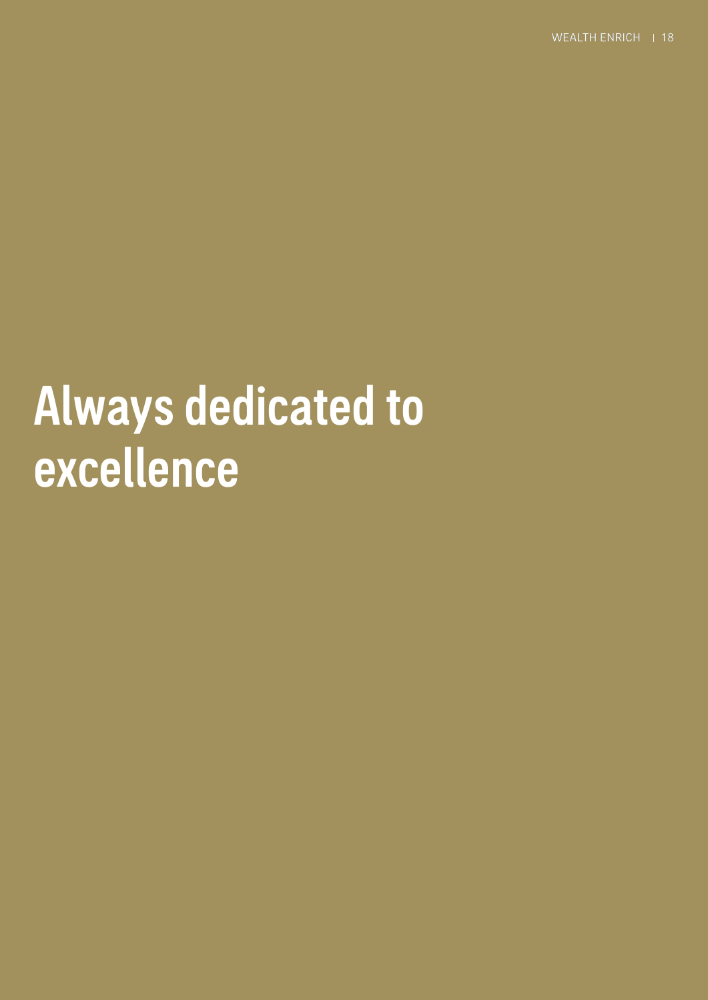# Always dedicated to excellence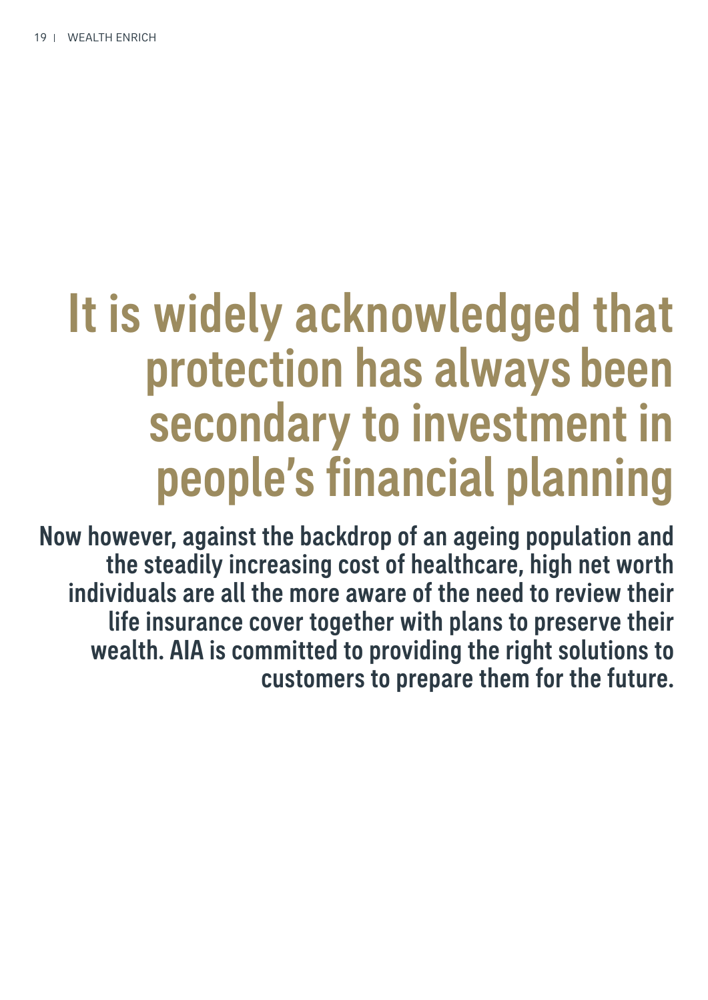# It is widely acknowledged that protection has always been secondary to investment in people's financial planning

Now however, against the backdrop of an ageing population and the steadily increasing cost of healthcare, high net worth individuals are all the more aware of the need to review their life insurance cover together with plans to preserve their wealth. AIA is committed to providing the right solutions to customers to prepare them for the future.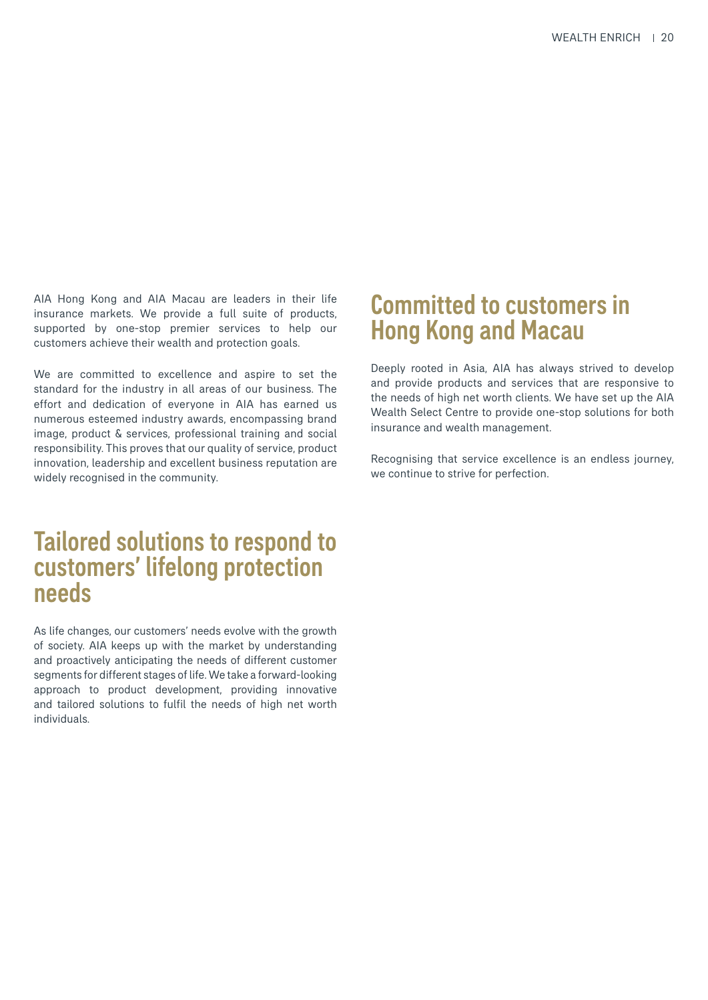AIA Hong Kong and AIA Macau are leaders in their life insurance markets. We provide a full suite of products, supported by one-stop premier services to help our customers achieve their wealth and protection goals.

We are committed to excellence and aspire to set the standard for the industry in all areas of our business. The effort and dedication of everyone in AIA has earned us numerous esteemed industry awards, encompassing brand image, product & services, professional training and social responsibility. This proves that our quality of service, product innovation, leadership and excellent business reputation are widely recognised in the community.

## Tailored solutions to respond to customers' lifelong protection needs

As life changes, our customers' needs evolve with the growth of society. AIA keeps up with the market by understanding and proactively anticipating the needs of different customer segments for different stages of life. We take a forward-looking approach to product development, providing innovative and tailored solutions to fulfil the needs of high net worth individuals.

## Committed to customers in Hong Kong and Macau

Deeply rooted in Asia, AIA has always strived to develop and provide products and services that are responsive to the needs of high net worth clients. We have set up the AIA Wealth Select Centre to provide one-stop solutions for both insurance and wealth management.

Recognising that service excellence is an endless journey, we continue to strive for perfection.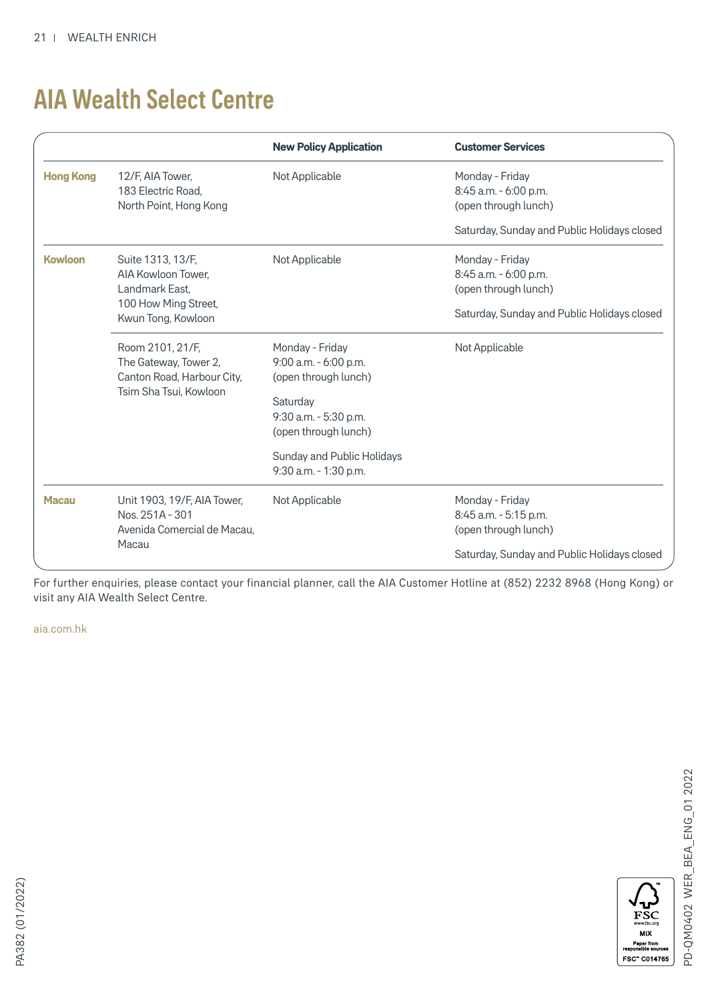## AIA Wealth Select Centre

|                  |                                                                                                                           | <b>New Policy Application</b>                                                                                                                                                        | <b>Customer Services</b>                                                                                        |
|------------------|---------------------------------------------------------------------------------------------------------------------------|--------------------------------------------------------------------------------------------------------------------------------------------------------------------------------------|-----------------------------------------------------------------------------------------------------------------|
| <b>Hong Kong</b> | 12/F, AIA Tower,<br>183 Electric Road,<br>North Point, Hong Kong                                                          | Not Applicable                                                                                                                                                                       | Monday - Friday<br>8:45 a.m. - 6:00 p.m.<br>(open through lunch)                                                |
|                  |                                                                                                                           |                                                                                                                                                                                      | Saturday, Sunday and Public Holidays closed                                                                     |
| <b>Kowloon</b>   | Suite 1313, 13/F,<br>Not Applicable<br>AIA Kowloon Tower.<br>Landmark East,<br>100 How Ming Street,<br>Kwun Tong, Kowloon | Monday - Friday<br>8:45 a.m. - 6:00 p.m.<br>(open through lunch)<br>Saturday, Sunday and Public Holidays closed                                                                      |                                                                                                                 |
|                  | Room 2101, 21/F,<br>The Gateway, Tower 2,<br>Canton Road, Harbour City,<br>Tsim Sha Tsui, Kowloon                         | Monday - Friday<br>9:00 a.m. - 6:00 p.m.<br>(open through lunch)<br>Saturday<br>9:30 a.m. - 5:30 p.m.<br>(open through lunch)<br>Sunday and Public Holidays<br>9:30 a.m. - 1:30 p.m. | Not Applicable                                                                                                  |
| <b>Macau</b>     | Unit 1903, 19/F, AIA Tower,<br>Nos. 251A - 301<br>Avenida Comercial de Macau,<br>Macau                                    | Not Applicable                                                                                                                                                                       | Monday - Friday<br>8:45 a.m. - 5:15 p.m.<br>(open through lunch)<br>Saturday, Sunday and Public Holidays closed |

For further enquiries, please contact your financial planner, call the AIA Customer Hotline at (852) 2232 8968 (Hong Kong) or visit any AIA Wealth Select Centre.

aia.com.hk

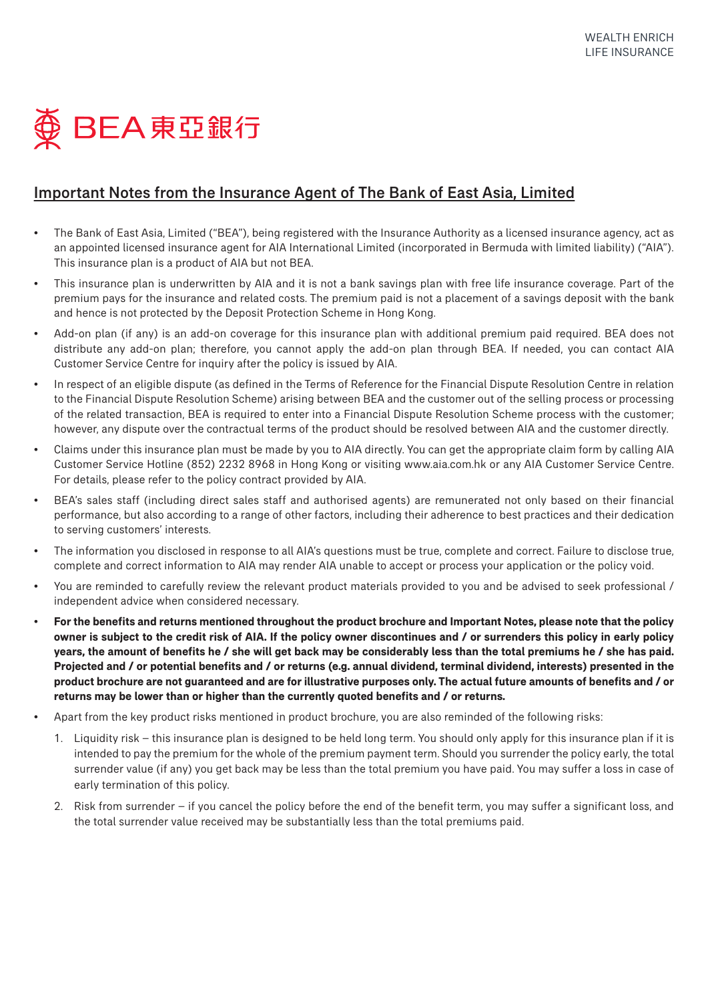

## Important Notes from the Insurance Agent of The Bank of East Asia, Limited

- The Bank of East Asia, Limited ("BEA"), being registered with the Insurance Authority as a licensed insurance agency, act as an appointed licensed insurance agent for AIA International Limited (incorporated in Bermuda with limited liability) ("AIA"). This insurance plan is a product of AIA but not BEA.
- This insurance plan is underwritten by AIA and it is not a bank savings plan with free life insurance coverage. Part of the premium pays for the insurance and related costs. The premium paid is not a placement of a savings deposit with the bank and hence is not protected by the Deposit Protection Scheme in Hong Kong.
- Add-on plan (if any) is an add-on coverage for this insurance plan with additional premium paid required. BEA does not distribute any add-on plan; therefore, you cannot apply the add-on plan through BEA. If needed, you can contact AIA Customer Service Centre for inquiry after the policy is issued by AIA.
- In respect of an eligible dispute (as defined in the Terms of Reference for the Financial Dispute Resolution Centre in relation to the Financial Dispute Resolution Scheme) arising between BEA and the customer out of the selling process or processing of the related transaction, BEA is required to enter into a Financial Dispute Resolution Scheme process with the customer; however, any dispute over the contractual terms of the product should be resolved between AIA and the customer directly.
- Claims under this insurance plan must be made by you to AIA directly. You can get the appropriate claim form by calling AIA Customer Service Hotline (852) 2232 8968 in Hong Kong or visiting www.aia.com.hk or any AIA Customer Service Centre. For details, please refer to the policy contract provided by AIA.
- BEA's sales staff (including direct sales staff and authorised agents) are remunerated not only based on their financial performance, but also according to a range of other factors, including their adherence to best practices and their dedication to serving customers' interests.
- The information you disclosed in response to all AIA's questions must be true, complete and correct. Failure to disclose true, complete and correct information to AIA may render AIA unable to accept or process your application or the policy void.
- You are reminded to carefully review the relevant product materials provided to you and be advised to seek professional / independent advice when considered necessary.
- **For the benefits and returns mentioned throughout the product brochure and Important Notes, please note that the policy owner is subject to the credit risk of AIA. If the policy owner discontinues and / or surrenders this policy in early policy years, the amount of benefits he / she will get back may be considerably less than the total premiums he / she has paid. Projected and / or potential benefits and / or returns (e.g. annual dividend, terminal dividend, interests) presented in the product brochure are not guaranteed and are for illustrative purposes only. The actual future amounts of benefits and / or returns may be lower than or higher than the currently quoted benefits and / or returns.**
- Apart from the key product risks mentioned in product brochure, you are also reminded of the following risks:
	- 1. Liquidity risk this insurance plan is designed to be held long term. You should only apply for this insurance plan if it is intended to pay the premium for the whole of the premium payment term. Should you surrender the policy early, the total surrender value (if any) you get back may be less than the total premium you have paid. You may suffer a loss in case of early termination of this policy.
	- 2. Risk from surrender if you cancel the policy before the end of the benefit term, you may suffer a significant loss, and the total surrender value received may be substantially less than the total premiums paid.